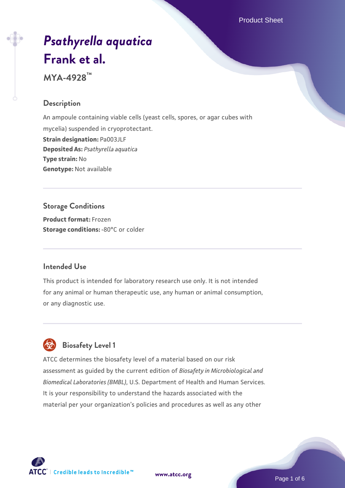Product Sheet

# *[Psathyrella aquatica](https://www.atcc.org/products/mya-4928)* **[Frank et al.](https://www.atcc.org/products/mya-4928)**

**MYA-4928™**

# **Description**

An ampoule containing viable cells (yeast cells, spores, or agar cubes with mycelia) suspended in cryoprotectant. **Strain designation:** Pa003JLF **Deposited As:** *Psathyrella aquatica* **Type strain:** No **Genotype:** Not available

# **Storage Conditions**

**Product format:** Frozen **Storage conditions: -80°C or colder** 

### **Intended Use**

This product is intended for laboratory research use only. It is not intended for any animal or human therapeutic use, any human or animal consumption, or any diagnostic use.



# **Biosafety Level 1**

ATCC determines the biosafety level of a material based on our risk assessment as guided by the current edition of *Biosafety in Microbiological and Biomedical Laboratories (BMBL)*, U.S. Department of Health and Human Services. It is your responsibility to understand the hazards associated with the material per your organization's policies and procedures as well as any other



**[www.atcc.org](http://www.atcc.org)**

Page 1 of 6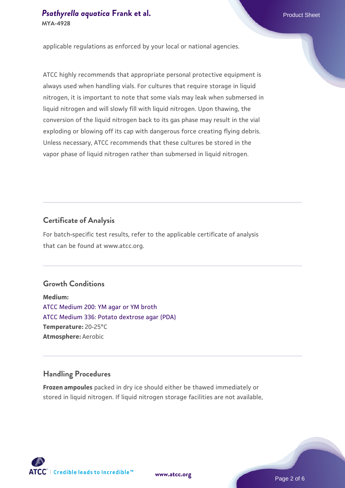applicable regulations as enforced by your local or national agencies.

ATCC highly recommends that appropriate personal protective equipment is always used when handling vials. For cultures that require storage in liquid nitrogen, it is important to note that some vials may leak when submersed in liquid nitrogen and will slowly fill with liquid nitrogen. Upon thawing, the conversion of the liquid nitrogen back to its gas phase may result in the vial exploding or blowing off its cap with dangerous force creating flying debris. Unless necessary, ATCC recommends that these cultures be stored in the vapor phase of liquid nitrogen rather than submersed in liquid nitrogen.

#### **Certificate of Analysis**

For batch-specific test results, refer to the applicable certificate of analysis that can be found at www.atcc.org.

#### **Growth Conditions**

**Medium:**  [ATCC Medium 200: YM agar or YM broth](https://www.atcc.org/-/media/product-assets/documents/microbial-media-formulations/2/0/0/atcc-medium-200.pdf?rev=ac40fd74dc13433a809367b0b9da30fc) [ATCC Medium 336: Potato dextrose agar \(PDA\)](https://www.atcc.org/-/media/product-assets/documents/microbial-media-formulations/3/3/6/atcc-medium-336.pdf?rev=d9160ad44d934cd8b65175461abbf3b9) **Temperature:** 20-25°C **Atmosphere:** Aerobic

#### **Handling Procedures**

**Frozen ampoules** packed in dry ice should either be thawed immediately or stored in liquid nitrogen. If liquid nitrogen storage facilities are not available,

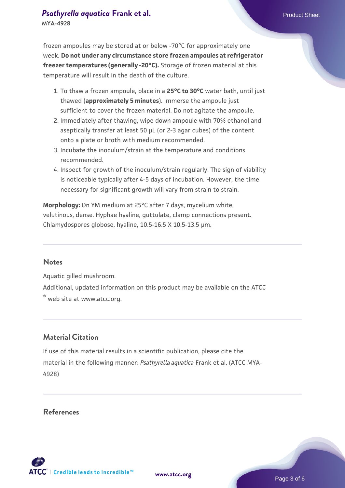frozen ampoules may be stored at or below -70°C for approximately one week. **Do not under any circumstance store frozen ampoules at refrigerator freezer temperatures (generally -20°C).** Storage of frozen material at this temperature will result in the death of the culture.

- 1. To thaw a frozen ampoule, place in a **25°C to 30°C** water bath, until just thawed (**approximately 5 minutes**). Immerse the ampoule just sufficient to cover the frozen material. Do not agitate the ampoule.
- 2. Immediately after thawing, wipe down ampoule with 70% ethanol and aseptically transfer at least 50 µL (or 2-3 agar cubes) of the content onto a plate or broth with medium recommended.
- 3. Incubate the inoculum/strain at the temperature and conditions recommended.
- 4. Inspect for growth of the inoculum/strain regularly. The sign of viability is noticeable typically after 4-5 days of incubation. However, the time necessary for significant growth will vary from strain to strain.

**Morphology:** On YM medium at 25°C after 7 days, mycelium white, velutinous, dense. Hyphae hyaline, guttulate, clamp connections present. Chlamydospores globose, hyaline, 10.5-16.5 X 10.5-13.5 µm.

#### **Notes**

Aquatic gilled mushroom.

Additional, updated information on this product may be available on the ATCC

® web site at www.atcc.org.

#### **Material Citation**

If use of this material results in a scientific publication, please cite the material in the following manner: *Psathyrella aquatica* Frank et al. (ATCC MYA-4928)

#### **References**

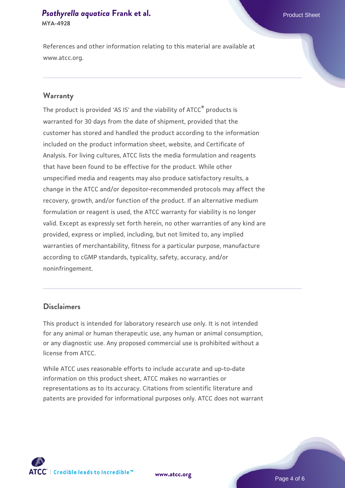#### **[Psathyrella aquatica](https://www.atcc.org/products/mya-4928) [Frank et al.](https://www.atcc.org/products/mya-4928)** Product Sheet **MYA-4928**

References and other information relating to this material are available at www.atcc.org.

#### **Warranty**

The product is provided 'AS IS' and the viability of ATCC® products is warranted for 30 days from the date of shipment, provided that the customer has stored and handled the product according to the information included on the product information sheet, website, and Certificate of Analysis. For living cultures, ATCC lists the media formulation and reagents that have been found to be effective for the product. While other unspecified media and reagents may also produce satisfactory results, a change in the ATCC and/or depositor-recommended protocols may affect the recovery, growth, and/or function of the product. If an alternative medium formulation or reagent is used, the ATCC warranty for viability is no longer valid. Except as expressly set forth herein, no other warranties of any kind are provided, express or implied, including, but not limited to, any implied warranties of merchantability, fitness for a particular purpose, manufacture according to cGMP standards, typicality, safety, accuracy, and/or noninfringement.

### **Disclaimers**

This product is intended for laboratory research use only. It is not intended for any animal or human therapeutic use, any human or animal consumption, or any diagnostic use. Any proposed commercial use is prohibited without a license from ATCC.

While ATCC uses reasonable efforts to include accurate and up-to-date information on this product sheet, ATCC makes no warranties or representations as to its accuracy. Citations from scientific literature and patents are provided for informational purposes only. ATCC does not warrant





Page 4 of 6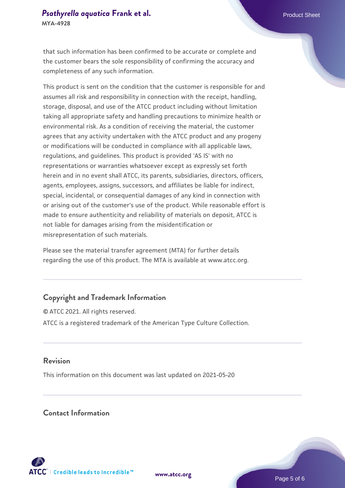that such information has been confirmed to be accurate or complete and the customer bears the sole responsibility of confirming the accuracy and completeness of any such information.

This product is sent on the condition that the customer is responsible for and assumes all risk and responsibility in connection with the receipt, handling, storage, disposal, and use of the ATCC product including without limitation taking all appropriate safety and handling precautions to minimize health or environmental risk. As a condition of receiving the material, the customer agrees that any activity undertaken with the ATCC product and any progeny or modifications will be conducted in compliance with all applicable laws, regulations, and guidelines. This product is provided 'AS IS' with no representations or warranties whatsoever except as expressly set forth herein and in no event shall ATCC, its parents, subsidiaries, directors, officers, agents, employees, assigns, successors, and affiliates be liable for indirect, special, incidental, or consequential damages of any kind in connection with or arising out of the customer's use of the product. While reasonable effort is made to ensure authenticity and reliability of materials on deposit, ATCC is not liable for damages arising from the misidentification or misrepresentation of such materials.

Please see the material transfer agreement (MTA) for further details regarding the use of this product. The MTA is available at www.atcc.org.

# **Copyright and Trademark Information**

© ATCC 2021. All rights reserved. ATCC is a registered trademark of the American Type Culture Collection.

## **Revision**

This information on this document was last updated on 2021-05-20

# **Contact Information**



**[www.atcc.org](http://www.atcc.org)**